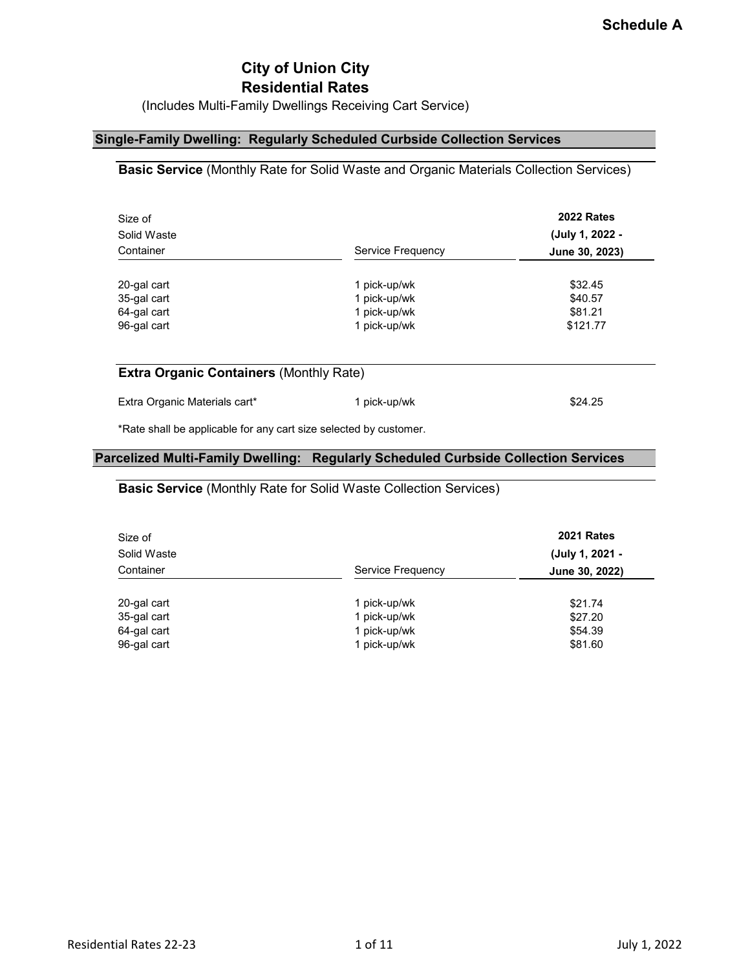# **City of Union City Residential Rates**

(Includes Multi-Family Dwellings Receiving Cart Service)

## **Single-Family Dwelling: Regularly Scheduled Curbside Collection Services**

### **Basic Service** (Monthly Rate for Solid Waste and Organic Materials Collection Services)

| Size of<br>Solid Waste<br>Container       |                                              | <b>2022 Rates</b><br>(July 1, 2022 - |  |
|-------------------------------------------|----------------------------------------------|--------------------------------------|--|
|                                           | Service Frequency                            | June 30, 2023)                       |  |
| 20-gal cart<br>35-gal cart<br>64-gal cart | 1 pick-up/wk<br>1 pick-up/wk<br>1 pick-up/wk | \$32.45<br>\$40.57<br>\$81.21        |  |
| 96-gal cart                               | 1 pick-up/wk                                 | \$121.77                             |  |
|                                           |                                              |                                      |  |
|                                           |                                              |                                      |  |

#### **Extra Organic Containers** (Monthly Rate)

| Extra Organic Materials cart* | 1 pick-up/wk | \$24.25 |
|-------------------------------|--------------|---------|
|-------------------------------|--------------|---------|

\*Rate shall be applicable for any cart size selected by customer.

#### **Parcelized Multi-Family Dwelling: Regularly Scheduled Curbside Collection Services**

#### **Basic Service** (Monthly Rate for Solid Waste Collection Services)

| Size of<br>Solid Waste |                   | 2021 Rates<br>(July 1, 2021 - |
|------------------------|-------------------|-------------------------------|
| Container              | Service Frequency | June 30, 2022)                |
|                        |                   |                               |
| 20-gal cart            | 1 pick-up/wk      | \$21.74                       |
| 35-gal cart            | 1 pick-up/wk      | \$27.20                       |
| 64-gal cart            | 1 pick-up/wk      | \$54.39                       |
| 96-gal cart            | 1 pick-up/wk      | \$81.60                       |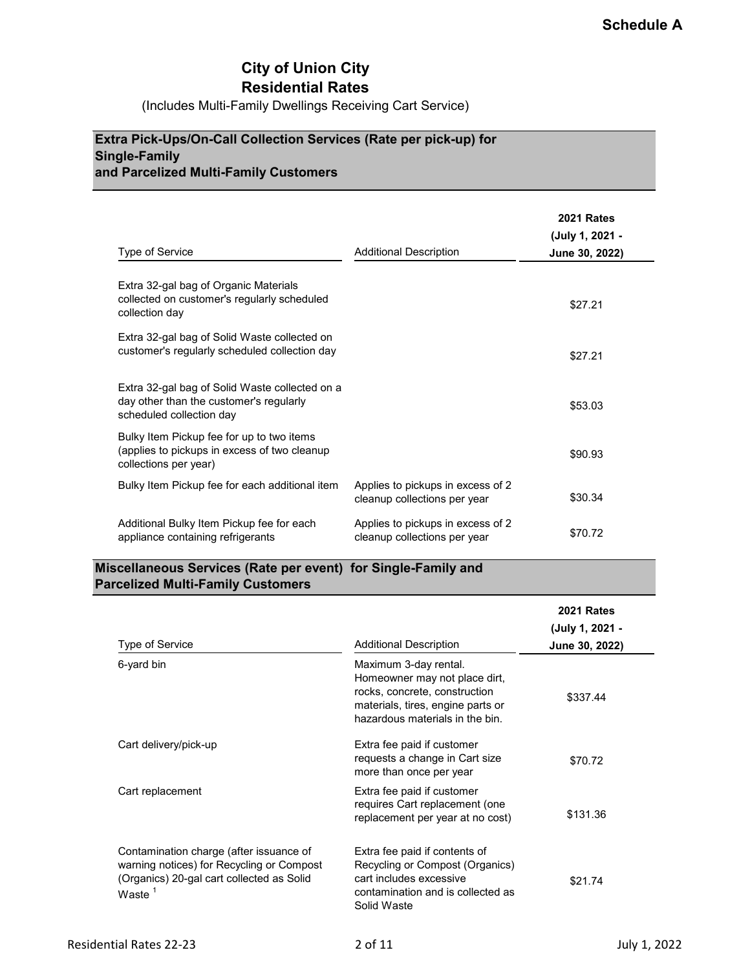# **City of Union City Residential Rates**

(Includes Multi-Family Dwellings Receiving Cart Service)

## **Extra Pick-Ups/On-Call Collection Services (Rate per pick-up) for Single-Family and Parcelized Multi-Family Customers**

|                                                                                                                       |                                                                   | <b>2021 Rates</b><br>(July 1, 2021 - |
|-----------------------------------------------------------------------------------------------------------------------|-------------------------------------------------------------------|--------------------------------------|
| Type of Service                                                                                                       | <b>Additional Description</b>                                     | June 30, 2022)                       |
| Extra 32-gal bag of Organic Materials<br>collected on customer's regularly scheduled<br>collection day                |                                                                   | \$27.21                              |
| Extra 32-gal bag of Solid Waste collected on<br>customer's regularly scheduled collection day                         |                                                                   | \$27.21                              |
| Extra 32-gal bag of Solid Waste collected on a<br>day other than the customer's regularly<br>scheduled collection day |                                                                   | \$53.03                              |
| Bulky Item Pickup fee for up to two items<br>(applies to pickups in excess of two cleanup<br>collections per year)    |                                                                   | \$90.93                              |
| Bulky Item Pickup fee for each additional item                                                                        | Applies to pickups in excess of 2<br>cleanup collections per year | \$30.34                              |
| Additional Bulky Item Pickup fee for each<br>appliance containing refrigerants                                        | Applies to pickups in excess of 2<br>cleanup collections per year | \$70.72                              |

## **Miscellaneous Services (Rate per event) for Single-Family and Parcelized Multi-Family Customers**

| Type of Service                                                                                                                                | Additional Description                                                                                                                                          | <b>2021 Rates</b><br>(July 1, 2021 -<br>June 30, 2022) |
|------------------------------------------------------------------------------------------------------------------------------------------------|-----------------------------------------------------------------------------------------------------------------------------------------------------------------|--------------------------------------------------------|
| 6-yard bin                                                                                                                                     | Maximum 3-day rental.<br>Homeowner may not place dirt,<br>rocks, concrete, construction<br>materials, tires, engine parts or<br>hazardous materials in the bin. | \$337.44                                               |
| Cart delivery/pick-up                                                                                                                          | Extra fee paid if customer<br>requests a change in Cart size<br>more than once per year                                                                         | \$70.72                                                |
| Cart replacement                                                                                                                               | Extra fee paid if customer<br>requires Cart replacement (one<br>replacement per year at no cost)                                                                | \$131.36                                               |
| Contamination charge (after issuance of<br>warning notices) for Recycling or Compost<br>(Organics) 20-gal cart collected as Solid<br>Waste $1$ | Extra fee paid if contents of<br>Recycling or Compost (Organics)<br>cart includes excessive<br>contamination and is collected as<br>Solid Waste                 | \$21.74                                                |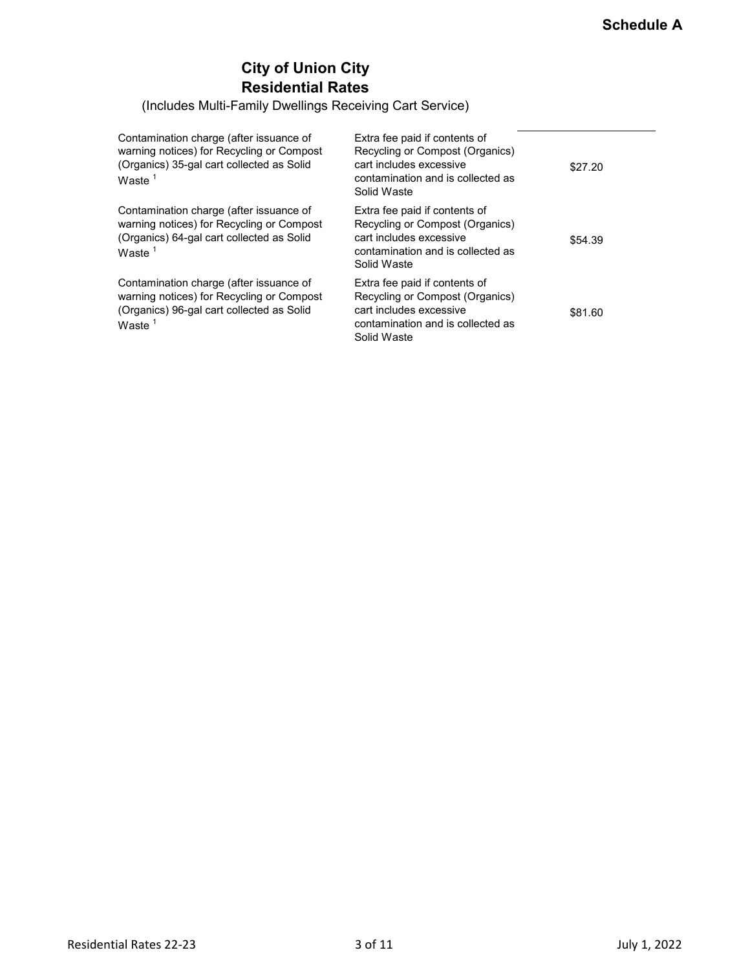# **City of Union City Residential Rates**

(Includes Multi-Family Dwellings Receiving Cart Service)

| Contamination charge (after issuance of<br>warning notices) for Recycling or Compost<br>(Organics) 35-gal cart collected as Solid<br>Waste $^{\rm 1}$ | Extra fee paid if contents of<br>Recycling or Compost (Organics)<br>cart includes excessive<br>contamination and is collected as<br>Solid Waste | \$27.20 |
|-------------------------------------------------------------------------------------------------------------------------------------------------------|-------------------------------------------------------------------------------------------------------------------------------------------------|---------|
| Contamination charge (after issuance of<br>warning notices) for Recycling or Compost<br>(Organics) 64-gal cart collected as Solid<br>Waste $^{\rm 1}$ | Extra fee paid if contents of<br>Recycling or Compost (Organics)<br>cart includes excessive<br>contamination and is collected as<br>Solid Waste | \$54.39 |
| Contamination charge (after issuance of<br>warning notices) for Recycling or Compost<br>(Organics) 96-gal cart collected as Solid<br>Waste $^{\rm 1}$ | Extra fee paid if contents of<br>Recycling or Compost (Organics)<br>cart includes excessive<br>contamination and is collected as<br>Solid Waste | \$81.60 |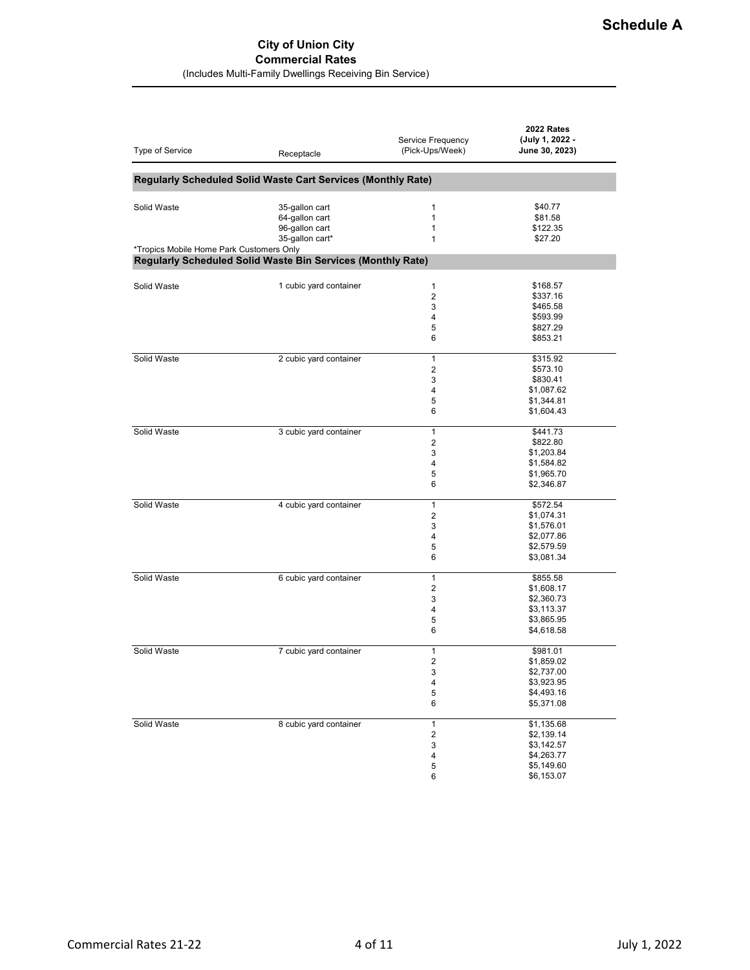#### **City of Union City Commercial Rates**

(Includes Multi-Family Dwellings Receiving Bin Service)

| Type of Service                          | Receptacle                                                   | Service Frequency<br>(Pick-Ups/Week) | 2022 Rates<br>(July 1, 2022 -<br>June 30, 2023) |
|------------------------------------------|--------------------------------------------------------------|--------------------------------------|-------------------------------------------------|
|                                          | Regularly Scheduled Solid Waste Cart Services (Monthly Rate) |                                      |                                                 |
|                                          |                                                              |                                      |                                                 |
| Solid Waste                              | 35-gallon cart                                               | 1                                    | \$40.77                                         |
|                                          | 64-gallon cart                                               | 1                                    | \$81.58                                         |
|                                          | 96-gallon cart                                               | 1                                    | \$122.35                                        |
|                                          | 35-gallon cart*                                              | $\mathbf{1}$                         | \$27.20                                         |
| *Tropics Mobile Home Park Customers Only |                                                              |                                      |                                                 |
|                                          | Regularly Scheduled Solid Waste Bin Services (Monthly Rate)  |                                      |                                                 |
|                                          |                                                              |                                      |                                                 |
| Solid Waste                              | 1 cubic yard container                                       | $\mathbf{1}$                         | \$168.57                                        |
|                                          |                                                              | $\overline{2}$                       | \$337.16                                        |
|                                          |                                                              | 3                                    | \$465.58                                        |
|                                          |                                                              | $\overline{4}$                       | \$593.99                                        |
|                                          |                                                              | 5                                    | \$827.29                                        |
|                                          |                                                              | 6                                    | \$853.21                                        |
| Solid Waste                              | 2 cubic yard container                                       | 1                                    | \$315.92                                        |
|                                          |                                                              | $\overline{2}$                       | \$573.10                                        |
|                                          |                                                              | 3                                    | \$830.41                                        |
|                                          |                                                              | 4                                    | \$1,087.62                                      |
|                                          |                                                              | 5                                    | \$1,344.81                                      |
|                                          |                                                              | 6                                    | \$1,604.43                                      |
|                                          |                                                              |                                      |                                                 |
| Solid Waste                              | 3 cubic yard container                                       | $\mathbf{1}$                         | \$441.73                                        |
|                                          |                                                              | $\overline{2}$                       | \$822.80                                        |
|                                          |                                                              | 3                                    | \$1,203.84                                      |
|                                          |                                                              | 4                                    | \$1,584.82                                      |
|                                          |                                                              | 5                                    | \$1,965.70                                      |
|                                          |                                                              | 6                                    | \$2,346.87                                      |
| Solid Waste                              | 4 cubic yard container                                       | $\mathbf{1}$                         | \$572.54                                        |
|                                          |                                                              | $\overline{2}$                       | \$1,074.31                                      |
|                                          |                                                              | 3                                    | \$1,576.01                                      |
|                                          |                                                              | 4                                    | \$2,077.86                                      |
|                                          |                                                              | 5                                    | \$2,579.59                                      |
|                                          |                                                              | 6                                    | \$3,081.34                                      |
|                                          |                                                              |                                      |                                                 |
| Solid Waste                              | 6 cubic yard container                                       | $\mathbf{1}$                         | \$855.58                                        |
|                                          |                                                              | 2                                    | \$1,608.17                                      |
|                                          |                                                              | 3                                    | \$2,360.73                                      |
|                                          |                                                              | $\overline{4}$                       | \$3,113.37                                      |
|                                          |                                                              | 5                                    | \$3,865.95                                      |
|                                          |                                                              | 6                                    | \$4,618.58                                      |
| Solid Waste                              | 7 cubic yard container                                       | 1                                    | \$981.01                                        |
|                                          |                                                              | 2                                    | \$1,859.02                                      |
|                                          |                                                              | 3                                    | \$2,737.00                                      |
|                                          |                                                              | 4                                    | \$3,923.95                                      |
|                                          |                                                              | 5                                    | \$4,493.16                                      |
|                                          |                                                              | 6                                    | \$5,371.08                                      |
|                                          |                                                              |                                      |                                                 |
| Solid Waste                              | 8 cubic yard container                                       | $\mathbf{1}$                         | \$1,135.68                                      |
|                                          |                                                              | $\sqrt{2}$                           | \$2,139.14                                      |
|                                          |                                                              | 3                                    | \$3,142.57                                      |
|                                          |                                                              | 4                                    | \$4,263.77                                      |
|                                          |                                                              | 5                                    | \$5,149.60                                      |
|                                          |                                                              | 6                                    | \$6,153.07                                      |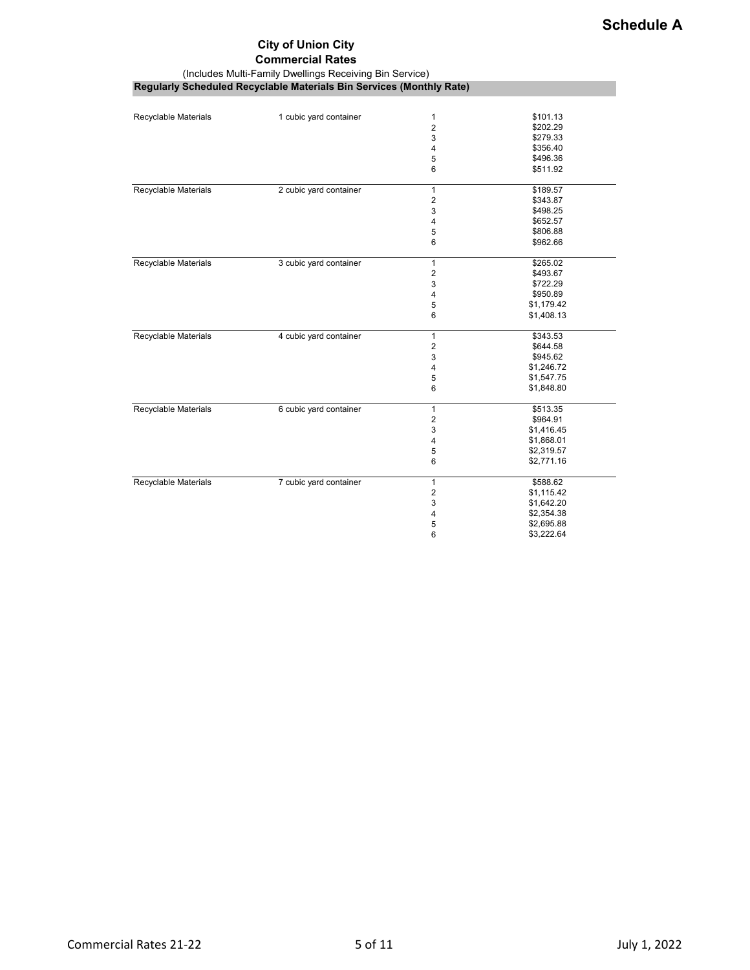# **City of Union City**

#### **Commercial Rates**

(Includes Multi-Family Dwellings Receiving Bin Service)

| <b>Regularly Scheduled Recyclable Materials Bin Services (Monthly Rate)</b> |  |  |
|-----------------------------------------------------------------------------|--|--|

| Recyclable Materials        | 1 cubic yard container | 1              | \$101.13   |
|-----------------------------|------------------------|----------------|------------|
|                             |                        | $\overline{2}$ | \$202.29   |
|                             |                        | 3              | \$279.33   |
|                             |                        | 4              | \$356.40   |
|                             |                        | 5              | \$496.36   |
|                             |                        | 6              | \$511.92   |
| Recyclable Materials        | 2 cubic yard container | $\mathbf{1}$   | \$189.57   |
|                             |                        | $\overline{c}$ | \$343.87   |
|                             |                        | 3              | \$498.25   |
|                             |                        | 4              | \$652.57   |
|                             |                        | 5              | \$806.88   |
|                             |                        | 6              | \$962.66   |
| <b>Recyclable Materials</b> | 3 cubic yard container | $\mathbf{1}$   | \$265.02   |
|                             |                        | $\overline{2}$ | \$493.67   |
|                             |                        | 3              | \$722.29   |
|                             |                        | 4              | \$950.89   |
|                             |                        | 5              | \$1,179.42 |
|                             |                        | 6              | \$1,408.13 |
| <b>Recyclable Materials</b> | 4 cubic yard container | $\mathbf{1}$   | \$343.53   |
|                             |                        | $\overline{2}$ | \$644.58   |
|                             |                        | 3              | \$945.62   |
|                             |                        | 4              | \$1,246.72 |
|                             |                        | 5              | \$1,547.75 |
|                             |                        | 6              | \$1,848.80 |
| Recyclable Materials        | 6 cubic yard container | $\mathbf{1}$   | \$513.35   |
|                             |                        | $\overline{2}$ | \$964.91   |
|                             |                        | 3              | \$1,416.45 |
|                             |                        | 4              | \$1,868.01 |
|                             |                        | 5              | \$2,319.57 |
|                             |                        | 6              | \$2,771.16 |
| Recyclable Materials        | 7 cubic yard container | $\mathbf{1}$   | \$588.62   |
|                             |                        | 2              | \$1,115.42 |
|                             |                        | 3              | \$1,642.20 |
|                             |                        | 4              | \$2,354.38 |
|                             |                        | 5              | \$2,695.88 |
|                             |                        | 6              | \$3,222.64 |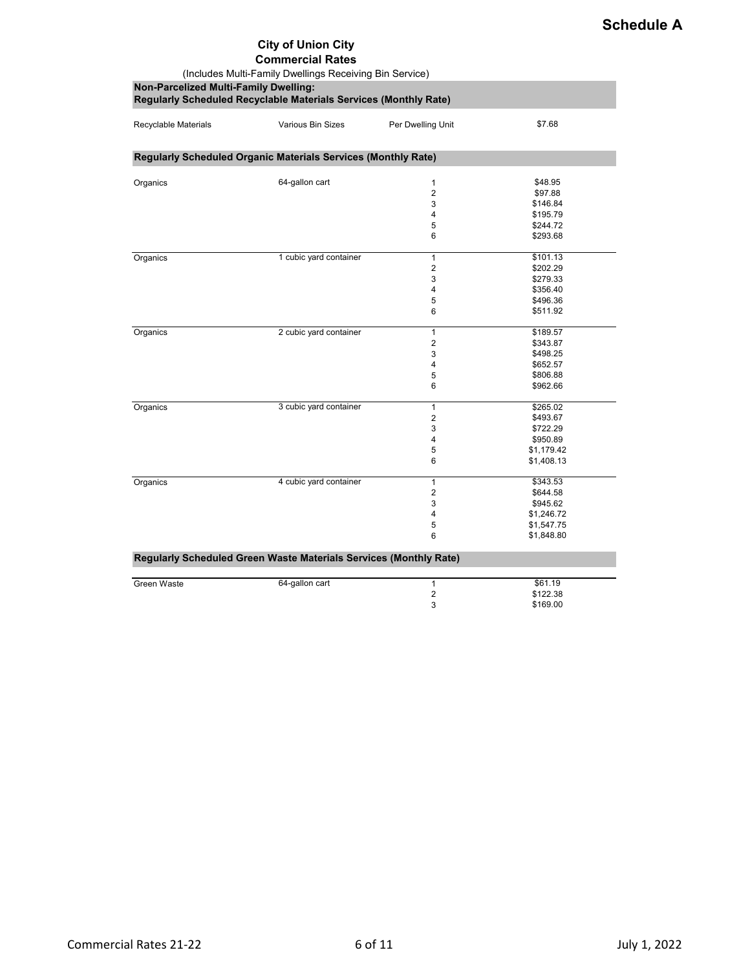# **City of Union City**

#### **Commercial Rates**

| (Includes Multi-Family Dwellings Receiving Bin Service)<br>Non-Parcelized Multi-Family Dwelling:<br>Regularly Scheduled Recyclable Materials Services (Monthly Rate) |                                                                   |                                                    |                                                                            |  |
|----------------------------------------------------------------------------------------------------------------------------------------------------------------------|-------------------------------------------------------------------|----------------------------------------------------|----------------------------------------------------------------------------|--|
| Recyclable Materials                                                                                                                                                 | Various Bin Sizes                                                 | Per Dwelling Unit                                  | \$7.68                                                                     |  |
|                                                                                                                                                                      | Regularly Scheduled Organic Materials Services (Monthly Rate)     |                                                    |                                                                            |  |
| Organics                                                                                                                                                             | 64-gallon cart                                                    | 1<br>$\overline{2}$<br>3<br>4<br>5<br>6            | \$48.95<br>\$97.88<br>\$146.84<br>\$195.79<br>\$244.72<br>\$293.68         |  |
| Organics                                                                                                                                                             | 1 cubic yard container                                            | $\mathbf{1}$<br>$\overline{2}$<br>3<br>4<br>5<br>6 | \$101.13<br>\$202.29<br>\$279.33<br>\$356.40<br>\$496.36<br>\$511.92       |  |
| Organics                                                                                                                                                             | 2 cubic yard container                                            | $\mathbf{1}$<br>2<br>3<br>4<br>5<br>6              | \$189.57<br>\$343.87<br>\$498.25<br>\$652.57<br>\$806.88<br>\$962.66       |  |
| Organics                                                                                                                                                             | 3 cubic yard container                                            | $\mathbf{1}$<br>2<br>3<br>4<br>5<br>6              | \$265.02<br>\$493.67<br>\$722.29<br>\$950.89<br>\$1,179.42<br>\$1,408.13   |  |
| Organics                                                                                                                                                             | 4 cubic yard container                                            | $\mathbf{1}$<br>$\overline{2}$<br>3<br>4<br>5<br>6 | \$343.53<br>\$644.58<br>\$945.62<br>\$1,246.72<br>\$1,547.75<br>\$1,848.80 |  |
|                                                                                                                                                                      | Regularly Scheduled Green Waste Materials Services (Monthly Rate) |                                                    |                                                                            |  |
| Green Waste                                                                                                                                                          | 64-gallon cart                                                    | 1<br>$\overline{\mathbf{c}}$<br>3                  | \$61.19<br>\$122.38<br>\$169.00                                            |  |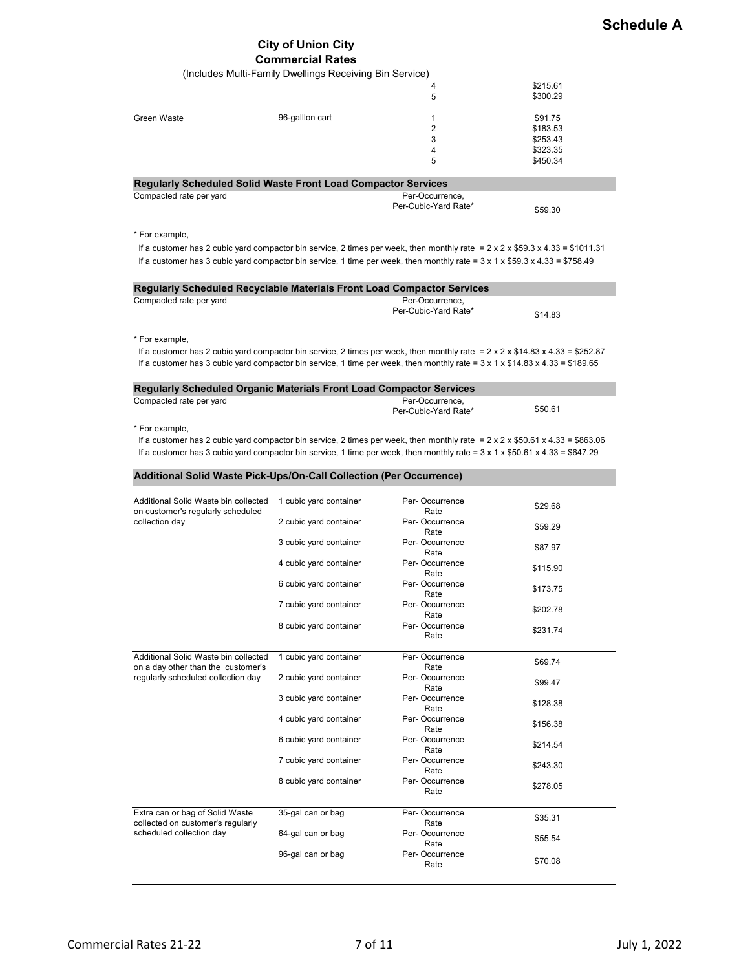### **City of Union City Commercial Rates**

|                                                                                                                                                                | (Includes Multi-Family Dwellings Receiving Bin Service) |                        |          |
|----------------------------------------------------------------------------------------------------------------------------------------------------------------|---------------------------------------------------------|------------------------|----------|
|                                                                                                                                                                |                                                         | 4                      | \$215.61 |
|                                                                                                                                                                |                                                         | 5                      | \$300.29 |
| Green Waste                                                                                                                                                    | 96-galllon cart                                         | $\mathbf{1}$           | \$91.75  |
|                                                                                                                                                                |                                                         | 2                      | \$183.53 |
|                                                                                                                                                                |                                                         | 3                      | \$253.43 |
|                                                                                                                                                                |                                                         | 4<br>5                 | \$323.35 |
|                                                                                                                                                                |                                                         |                        | \$450.34 |
| Regularly Scheduled Solid Waste Front Load Compactor Services                                                                                                  |                                                         |                        |          |
| Compacted rate per yard                                                                                                                                        |                                                         | Per-Occurrence,        |          |
|                                                                                                                                                                |                                                         | Per-Cubic-Yard Rate*   | \$59.30  |
|                                                                                                                                                                |                                                         |                        |          |
| * For example,<br>If a customer has 2 cubic yard compactor bin service, 2 times per week, then monthly rate = $2 \times 2 \times $59.3 \times 4.33 = $1011.31$ |                                                         |                        |          |
| If a customer has 3 cubic yard compactor bin service, 1 time per week, then monthly rate = $3 \times 1 \times $59.3 \times 4.33 = $758.49$                     |                                                         |                        |          |
|                                                                                                                                                                |                                                         |                        |          |
| Regularly Scheduled Recyclable Materials Front Load Compactor Services                                                                                         |                                                         |                        |          |
| Compacted rate per yard                                                                                                                                        |                                                         | Per-Occurrence,        |          |
|                                                                                                                                                                |                                                         | Per-Cubic-Yard Rate*   | \$14.83  |
|                                                                                                                                                                |                                                         |                        |          |
| * For example,                                                                                                                                                 |                                                         |                        |          |
| If a customer has 2 cubic yard compactor bin service, 2 times per week, then monthly rate = $2 \times 2 \times $14.83 \times 4.33 = $252.87$                   |                                                         |                        |          |
| If a customer has 3 cubic yard compactor bin service, 1 time per week, then monthly rate = $3 \times 1 \times $14.83 \times 4.33 = $189.65$                    |                                                         |                        |          |
| <b>Regularly Scheduled Organic Materials Front Load Compactor Services</b>                                                                                     |                                                         |                        |          |
| Compacted rate per yard                                                                                                                                        |                                                         | Per-Occurrence,        |          |
|                                                                                                                                                                |                                                         | Per-Cubic-Yard Rate*   | \$50.61  |
| * For example,                                                                                                                                                 |                                                         |                        |          |
| If a customer has 2 cubic yard compactor bin service, 2 times per week, then monthly rate = $2 \times 2 \times $50.61 \times 4.33 = $863.06$                   |                                                         |                        |          |
| If a customer has 3 cubic yard compactor bin service, 1 time per week, then monthly rate = $3 \times 1 \times $50.61 \times 4.33 = $647.29$                    |                                                         |                        |          |
|                                                                                                                                                                |                                                         |                        |          |
| Additional Solid Waste Pick-Ups/On-Call Collection (Per Occurrence)                                                                                            |                                                         |                        |          |
| Additional Solid Waste bin collected                                                                                                                           | 1 cubic yard container                                  | Per-Occurrence         |          |
| on customer's regularly scheduled                                                                                                                              |                                                         | Rate                   | \$29.68  |
| collection day                                                                                                                                                 | 2 cubic yard container                                  | Per-Occurrence         | \$59.29  |
|                                                                                                                                                                | 3 cubic yard container                                  | Rate<br>Per-Occurrence |          |
|                                                                                                                                                                |                                                         | Rate                   | \$87.97  |
|                                                                                                                                                                | 4 cubic yard container                                  | Per-Occurrence         | \$115.90 |
|                                                                                                                                                                | 6 cubic yard container                                  | Rate<br>Per-Occurrence |          |
|                                                                                                                                                                |                                                         | Rate                   | \$173.75 |
|                                                                                                                                                                | 7 cubic yard container                                  | Per-Occurrence         | \$202.78 |
|                                                                                                                                                                |                                                         | Rate                   |          |
|                                                                                                                                                                | 8 cubic yard container                                  | Per-Occurrence<br>Rate | \$231.74 |
|                                                                                                                                                                |                                                         |                        |          |
| Additional Solid Waste bin collected<br>on a day other than the customer's                                                                                     | 1 cubic yard container                                  | Per-Occurrence<br>Rate | \$69.74  |
| regularly scheduled collection day                                                                                                                             | 2 cubic yard container                                  | Per-Occurrence         | \$99.47  |
|                                                                                                                                                                |                                                         | Rate                   |          |
|                                                                                                                                                                | 3 cubic yard container                                  | Per-Occurrence<br>Rate | \$128.38 |
|                                                                                                                                                                | 4 cubic yard container                                  | Per-Occurrence         | \$156.38 |
|                                                                                                                                                                |                                                         | Rate                   |          |
|                                                                                                                                                                | 6 cubic yard container                                  | Per-Occurrence<br>Rate | \$214.54 |
|                                                                                                                                                                | 7 cubic yard container                                  | Per-Occurrence         |          |
|                                                                                                                                                                |                                                         | Rate                   | \$243.30 |
|                                                                                                                                                                | 8 cubic yard container                                  | Per-Occurrence<br>Rate | \$278.05 |
|                                                                                                                                                                |                                                         |                        |          |
| Extra can or bag of Solid Waste                                                                                                                                | 35-gal can or bag                                       | Per-Occurrence         | \$35.31  |
| collected on customer's regularly<br>scheduled collection day                                                                                                  | 64-gal can or bag                                       | Rate<br>Per-Occurrence |          |
|                                                                                                                                                                |                                                         | Rate                   | \$55.54  |
|                                                                                                                                                                | 96-gal can or bag                                       | Per-Occurrence         |          |
|                                                                                                                                                                |                                                         | Rate                   | \$70.08  |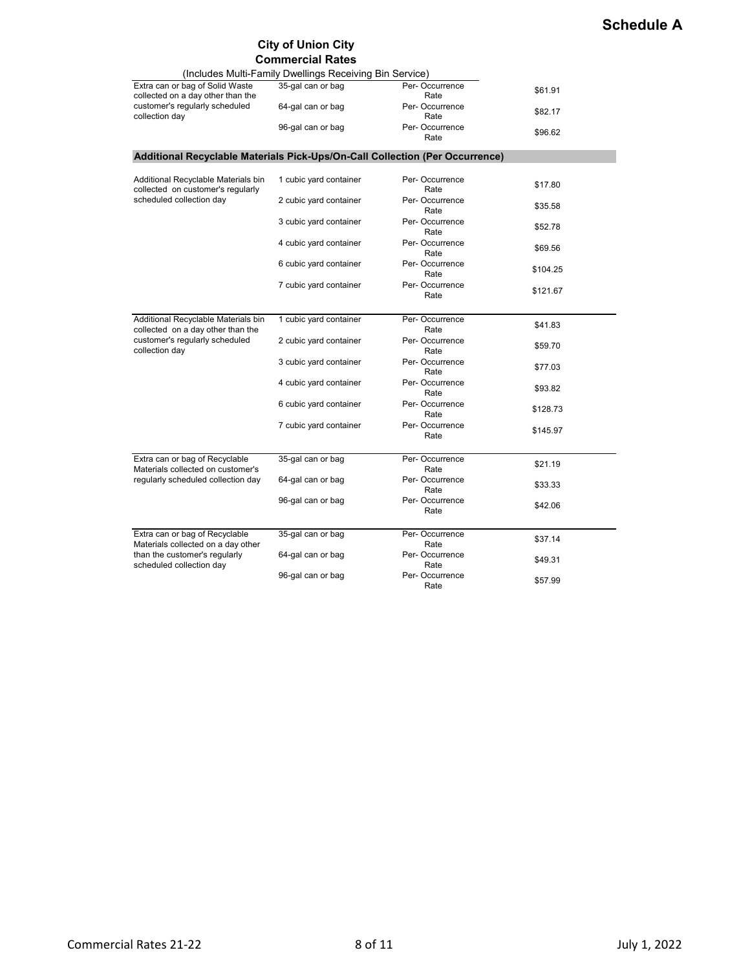# **Schedule A**

# **City of Union City**

|                                                                              | <b>Commercial Rates</b>                                 |                        |          |
|------------------------------------------------------------------------------|---------------------------------------------------------|------------------------|----------|
|                                                                              | (Includes Multi-Family Dwellings Receiving Bin Service) |                        |          |
| Extra can or bag of Solid Waste<br>collected on a day other than the         | 35-gal can or bag                                       | Per-Occurrence<br>Rate | \$61.91  |
| customer's regularly scheduled<br>collection day                             | 64-gal can or bag                                       | Per-Occurrence<br>Rate | \$82.17  |
|                                                                              | 96-gal can or bag                                       | Per-Occurrence<br>Rate | \$96.62  |
| Additional Recyclable Materials Pick-Ups/On-Call Collection (Per Occurrence) |                                                         |                        |          |
|                                                                              |                                                         |                        |          |
| Additional Recyclable Materials bin<br>collected on customer's regularly     | 1 cubic yard container                                  | Per-Occurrence<br>Rate | \$17.80  |
| scheduled collection day                                                     | 2 cubic yard container                                  | Per-Occurrence<br>Rate | \$35.58  |
|                                                                              | 3 cubic yard container                                  | Per-Occurrence<br>Rate | \$52.78  |
|                                                                              | 4 cubic yard container                                  | Per-Occurrence<br>Rate | \$69.56  |
|                                                                              | 6 cubic yard container                                  | Per-Occurrence<br>Rate | \$104.25 |
|                                                                              | 7 cubic yard container                                  | Per-Occurrence<br>Rate | \$121.67 |
| Additional Recyclable Materials bin                                          | 1 cubic yard container                                  | Per-Occurrence         | \$41.83  |
| collected on a day other than the                                            |                                                         | Rate                   |          |
| customer's regularly scheduled<br>collection day                             | 2 cubic yard container                                  | Per-Occurrence<br>Rate | \$59.70  |
|                                                                              | 3 cubic yard container                                  | Per-Occurrence<br>Rate | \$77.03  |
|                                                                              | 4 cubic yard container                                  | Per-Occurrence<br>Rate | \$93.82  |
|                                                                              | 6 cubic yard container                                  | Per-Occurrence<br>Rate | \$128.73 |
|                                                                              | 7 cubic yard container                                  | Per-Occurrence<br>Rate | \$145.97 |
|                                                                              |                                                         |                        |          |
| Extra can or bag of Recyclable<br>Materials collected on customer's          | 35-gal can or bag                                       | Per-Occurrence<br>Rate | \$21.19  |
| regularly scheduled collection day                                           | 64-gal can or bag                                       | Per-Occurrence<br>Rate | \$33.33  |
|                                                                              | 96-gal can or bag                                       | Per-Occurrence<br>Rate | \$42.06  |
|                                                                              |                                                         |                        |          |
| Extra can or bag of Recyclable<br>Materials collected on a day other         | 35-gal can or bag                                       | Per-Occurrence<br>Rate | \$37.14  |
| than the customer's regularly<br>scheduled collection day                    | 64-gal can or bag                                       | Per-Occurrence<br>Rate | \$49.31  |
|                                                                              | 96-gal can or bag                                       | Per-Occurrence<br>Rate | \$57.99  |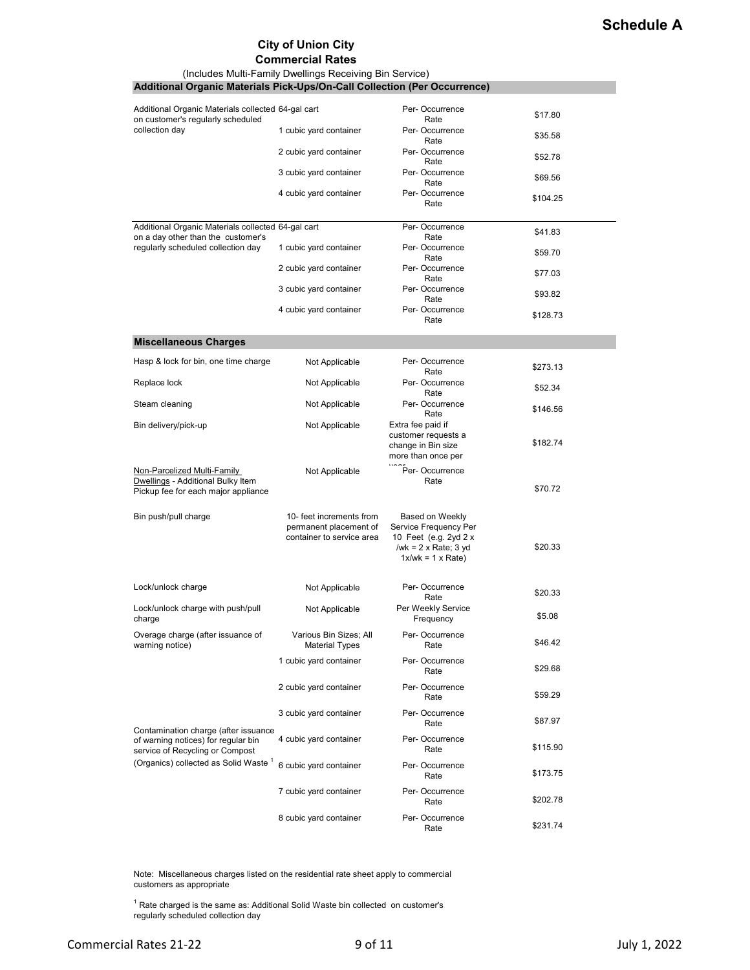## **City of Union City**

#### **Commercial Rates**

| (Includes Multi-Family Dwellings Receiving Bin Service)<br>Additional Organic Materials Pick-Ups/On-Call Collection (Per Occurrence) |                                                                                 |                                                                                                                        |          |
|--------------------------------------------------------------------------------------------------------------------------------------|---------------------------------------------------------------------------------|------------------------------------------------------------------------------------------------------------------------|----------|
|                                                                                                                                      |                                                                                 |                                                                                                                        |          |
| Additional Organic Materials collected 64-gal cart<br>on customer's regularly scheduled                                              |                                                                                 | Per-Occurrence<br>Rate                                                                                                 | \$17.80  |
| collection day                                                                                                                       | 1 cubic yard container                                                          | Per-Occurrence<br>Rate                                                                                                 | \$35.58  |
|                                                                                                                                      | 2 cubic yard container                                                          | Per-Occurrence<br>Rate                                                                                                 | \$52.78  |
|                                                                                                                                      | 3 cubic yard container                                                          | Per-Occurrence<br>Rate                                                                                                 | \$69.56  |
|                                                                                                                                      | 4 cubic yard container                                                          | Per-Occurrence<br>Rate                                                                                                 | \$104.25 |
| Additional Organic Materials collected 64-gal cart<br>on a day other than the customer's                                             |                                                                                 | Per-Occurrence<br>Rate                                                                                                 | \$41.83  |
| regularly scheduled collection day                                                                                                   | 1 cubic yard container                                                          | Per-Occurrence<br>Rate                                                                                                 | \$59.70  |
|                                                                                                                                      | 2 cubic yard container                                                          | Per-Occurrence<br>Rate                                                                                                 | \$77.03  |
|                                                                                                                                      | 3 cubic yard container                                                          | Per-Occurrence<br>Rate                                                                                                 | \$93.82  |
|                                                                                                                                      | 4 cubic yard container                                                          | Per-Occurrence<br>Rate                                                                                                 | \$128.73 |
| <b>Miscellaneous Charges</b>                                                                                                         |                                                                                 |                                                                                                                        |          |
| Hasp & lock for bin, one time charge                                                                                                 | Not Applicable                                                                  | Per-Occurrence<br>Rate                                                                                                 | \$273.13 |
| Replace lock                                                                                                                         | Not Applicable                                                                  | Per-Occurrence<br>Rate                                                                                                 | \$52.34  |
| Steam cleaning                                                                                                                       | Not Applicable                                                                  | Per-Occurrence<br>Rate                                                                                                 | \$146.56 |
| Bin delivery/pick-up                                                                                                                 | Not Applicable                                                                  | Extra fee paid if<br>customer requests a<br>change in Bin size<br>more than once per                                   | \$182.74 |
| Non-Parcelized Multi-Family<br>Dwellings - Additional Bulky Item<br>Pickup fee for each major appliance                              | Not Applicable                                                                  | Per-Occurrence<br>Rate                                                                                                 | \$70.72  |
| Bin push/pull charge                                                                                                                 | 10- feet increments from<br>permanent placement of<br>container to service area | Based on Weekly<br>Service Frequency Per<br>10 Feet (e.g. 2yd 2 x<br>/wk = $2 \times$ Rate; 3 yd<br>$1x/wk = 1 x Rate$ | \$20.33  |
| Lock/unlock charge                                                                                                                   | Not Applicable                                                                  | Per-Occurrence<br>Rate                                                                                                 | \$20.33  |
| Lock/unlock charge with push/pull<br>charge                                                                                          | Not Applicable                                                                  | Per Weekly Service<br>Frequency                                                                                        | \$5.08   |
| Overage charge (after issuance of<br>warning notice)                                                                                 | Various Bin Sizes; All<br><b>Material Types</b>                                 | Per-Occurrence<br>Rate                                                                                                 | \$46.42  |
|                                                                                                                                      | 1 cubic yard container                                                          | Per-Occurrence<br>Rate                                                                                                 | \$29.68  |
|                                                                                                                                      | 2 cubic yard container                                                          | Per-Occurrence<br>Rate                                                                                                 | \$59.29  |
| Contamination charge (after issuance                                                                                                 | 3 cubic yard container                                                          | Per-Occurrence<br>Rate                                                                                                 | \$87.97  |
| of warning notices) for regular bin<br>service of Recycling or Compost                                                               | 4 cubic yard container                                                          | Per-Occurrence<br>Rate                                                                                                 | \$115.90 |
| (Organics) collected as Solid Waste <sup>1</sup>                                                                                     | 6 cubic yard container                                                          | Per-Occurrence<br>Rate                                                                                                 | \$173.75 |
|                                                                                                                                      | 7 cubic yard container                                                          | Per-Occurrence<br>Rate                                                                                                 | \$202.78 |
|                                                                                                                                      | 8 cubic yard container                                                          | Per-Occurrence<br>Rate                                                                                                 | \$231.74 |

Note: Miscellaneous charges listed on the residential rate sheet apply to commercial customers as appropriate

 $1$  Rate charged is the same as: Additional Solid Waste bin collected on customer's regularly scheduled collection day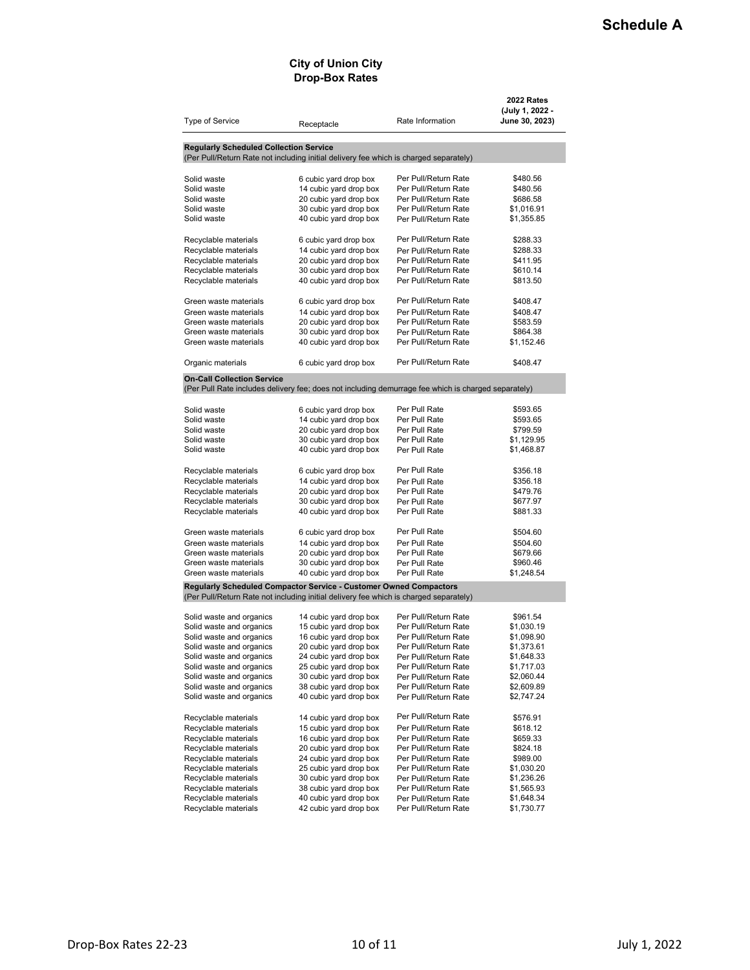#### **City of Union City Drop-Box Rates**

| Type of Service                                | Receptacle                                                                                          | Rate Information                             | 2022 Rates<br>(July 1, 2022 -<br>June 30, 2023) |
|------------------------------------------------|-----------------------------------------------------------------------------------------------------|----------------------------------------------|-------------------------------------------------|
| <b>Regularly Scheduled Collection Service</b>  |                                                                                                     |                                              |                                                 |
|                                                | (Per Pull/Return Rate not including initial delivery fee which is charged separately)               |                                              |                                                 |
| Solid waste                                    | 6 cubic yard drop box                                                                               | Per Pull/Return Rate                         | \$480.56                                        |
| Solid waste                                    | 14 cubic yard drop box                                                                              | Per Pull/Return Rate                         | \$480.56                                        |
| Solid waste                                    | 20 cubic yard drop box                                                                              | Per Pull/Return Rate                         | \$686.58                                        |
| Solid waste                                    | 30 cubic yard drop box                                                                              | Per Pull/Return Rate                         | \$1,016.91                                      |
| Solid waste                                    | 40 cubic yard drop box                                                                              | Per Pull/Return Rate                         | \$1,355.85                                      |
| Recyclable materials                           | 6 cubic yard drop box                                                                               | Per Pull/Return Rate                         | \$288.33                                        |
| Recyclable materials                           | 14 cubic yard drop box                                                                              | Per Pull/Return Rate                         | \$288.33                                        |
| Recyclable materials                           | 20 cubic yard drop box                                                                              | Per Pull/Return Rate                         | \$411.95                                        |
| Recyclable materials                           | 30 cubic yard drop box                                                                              | Per Pull/Return Rate                         | \$610.14                                        |
| Recyclable materials                           | 40 cubic yard drop box                                                                              | Per Pull/Return Rate                         | \$813.50                                        |
| Green waste materials                          | 6 cubic yard drop box                                                                               | Per Pull/Return Rate                         | \$408.47                                        |
| Green waste materials                          | 14 cubic yard drop box                                                                              | Per Pull/Return Rate                         | \$408.47                                        |
| Green waste materials                          | 20 cubic yard drop box                                                                              | Per Pull/Return Rate                         | \$583.59                                        |
| Green waste materials                          | 30 cubic yard drop box                                                                              | Per Pull/Return Rate                         | \$864.38                                        |
| Green waste materials                          | 40 cubic yard drop box                                                                              | Per Pull/Return Rate                         | \$1,152.46                                      |
| Organic materials                              | 6 cubic yard drop box                                                                               | Per Pull/Return Rate                         | \$408.47                                        |
| <b>On-Call Collection Service</b>              |                                                                                                     |                                              |                                                 |
|                                                | (Per Pull Rate includes delivery fee; does not including demurrage fee which is charged separately) |                                              |                                                 |
| Solid waste                                    | 6 cubic yard drop box                                                                               | Per Pull Rate                                | \$593.65                                        |
| Solid waste                                    | 14 cubic yard drop box                                                                              | Per Pull Rate                                | \$593.65                                        |
| Solid waste                                    | 20 cubic yard drop box                                                                              | Per Pull Rate                                | \$799.59                                        |
| Solid waste                                    | 30 cubic yard drop box                                                                              | Per Pull Rate                                | \$1,129.95                                      |
| Solid waste                                    | 40 cubic yard drop box                                                                              | Per Pull Rate                                | \$1,468.87                                      |
|                                                |                                                                                                     | Per Pull Rate                                |                                                 |
| Recyclable materials                           | 6 cubic yard drop box                                                                               |                                              | \$356.18                                        |
| Recyclable materials                           | 14 cubic yard drop box                                                                              | Per Pull Rate                                | \$356.18                                        |
| Recyclable materials<br>Recyclable materials   | 20 cubic yard drop box<br>30 cubic yard drop box                                                    | Per Pull Rate<br>Per Pull Rate               | \$479.76<br>\$677.97                            |
| Recyclable materials                           | 40 cubic yard drop box                                                                              | Per Pull Rate                                | \$881.33                                        |
|                                                |                                                                                                     |                                              |                                                 |
| Green waste materials                          | 6 cubic yard drop box                                                                               | Per Pull Rate                                | \$504.60                                        |
| Green waste materials                          | 14 cubic yard drop box                                                                              | Per Pull Rate                                | \$504.60                                        |
| Green waste materials                          | 20 cubic yard drop box                                                                              | Per Pull Rate<br>Per Pull Rate               | \$679.66                                        |
| Green waste materials<br>Green waste materials | 30 cubic yard drop box<br>40 cubic yard drop box                                                    | Per Pull Rate                                | \$960.46<br>\$1,248.54                          |
|                                                | Regularly Scheduled Compactor Service - Customer Owned Compactors                                   |                                              |                                                 |
|                                                | (Per Pull/Return Rate not including initial delivery fee which is charged separately)               |                                              |                                                 |
| Solid waste and organics                       |                                                                                                     | Per Pull/Return Rate                         | \$961.54                                        |
| Solid waste and organics                       | 14 cubic yard drop box<br>15 cubic yard drop box                                                    | Per Pull/Return Rate                         | \$1,030.19                                      |
| Solid waste and organics                       | 16 cubic yard drop box                                                                              | Per Pull/Return Rate                         | \$1,098.90                                      |
| Solid waste and organics                       | 20 cubic yard drop box                                                                              | Per Pull/Return Rate                         | \$1,373.61                                      |
| Solid waste and organics                       | 24 cubic yard drop box                                                                              | Per Pull/Return Rate                         | \$1,648.33                                      |
| Solid waste and organics                       | 25 cubic yard drop box                                                                              | Per Pull/Return Rate                         | \$1,717.03                                      |
| Solid waste and organics                       | 30 cubic yard drop box                                                                              | Per Pull/Return Rate                         | \$2,060.44                                      |
| Solid waste and organics                       | 38 cubic yard drop box                                                                              | Per Pull/Return Rate                         | \$2,609.89                                      |
| Solid waste and organics                       | 40 cubic yard drop box                                                                              | Per Pull/Return Rate                         | \$2,747.24                                      |
|                                                |                                                                                                     | Per Pull/Return Rate                         |                                                 |
| Recyclable materials                           | 14 cubic yard drop box<br>15 cubic yard drop box                                                    |                                              | \$576.91                                        |
| Recyclable materials                           |                                                                                                     | Per Pull/Return Rate                         | \$618.12                                        |
| Recyclable materials                           | 16 cubic yard drop box                                                                              | Per Pull/Return Rate                         | \$659.33                                        |
| Recyclable materials<br>Recyclable materials   | 20 cubic yard drop box<br>24 cubic yard drop box                                                    | Per Pull/Return Rate                         | \$824.18                                        |
|                                                | 25 cubic yard drop box                                                                              | Per Pull/Return Rate                         | \$989.00                                        |
| Recyclable materials<br>Recyclable materials   | 30 cubic yard drop box                                                                              | Per Pull/Return Rate                         | \$1,030.20                                      |
| Recyclable materials                           | 38 cubic yard drop box                                                                              | Per Pull/Return Rate                         | \$1,236.26                                      |
| Recyclable materials                           | 40 cubic yard drop box                                                                              | Per Pull/Return Rate<br>Per Pull/Return Rate | \$1,565.93<br>\$1,648.34                        |
| Recyclable materials                           | 42 cubic yard drop box                                                                              | Per Pull/Return Rate                         | \$1,730.77                                      |
|                                                |                                                                                                     |                                              |                                                 |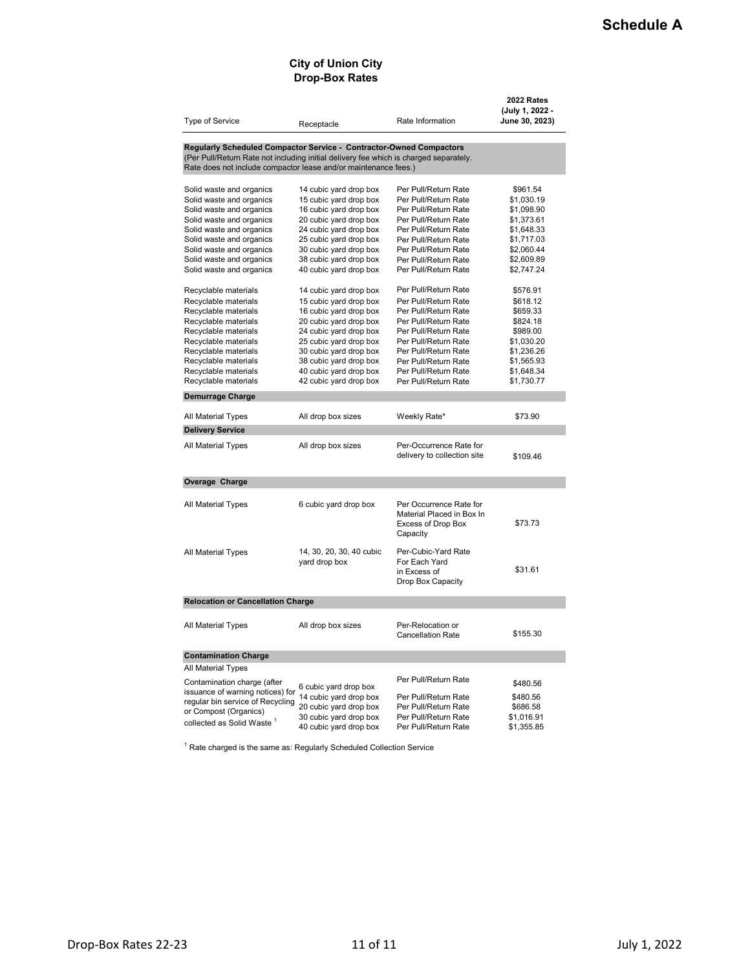#### **City of Union City Drop-Box Rates**

| Type of Service                                                                       |                                                  | Rate Information                             | 2022 Rates<br>(July 1, 2022 -<br>June 30, 2023) |
|---------------------------------------------------------------------------------------|--------------------------------------------------|----------------------------------------------|-------------------------------------------------|
|                                                                                       | Receptacle                                       |                                              |                                                 |
| Regularly Scheduled Compactor Service - Contractor-Owned Compactors                   |                                                  |                                              |                                                 |
| (Per Pull/Return Rate not including initial delivery fee which is charged separately. |                                                  |                                              |                                                 |
| Rate does not include compactor lease and/or maintenance fees.)                       |                                                  |                                              |                                                 |
|                                                                                       |                                                  |                                              |                                                 |
| Solid waste and organics                                                              | 14 cubic yard drop box                           | Per Pull/Return Rate                         | \$961.54                                        |
| Solid waste and organics                                                              | 15 cubic yard drop box                           | Per Pull/Return Rate                         | \$1,030.19                                      |
| Solid waste and organics                                                              | 16 cubic yard drop box                           | Per Pull/Return Rate                         | \$1,098.90                                      |
| Solid waste and organics                                                              | 20 cubic yard drop box                           | Per Pull/Return Rate                         | \$1,373.61                                      |
| Solid waste and organics                                                              | 24 cubic yard drop box                           | Per Pull/Return Rate<br>Per Pull/Return Rate | \$1,648.33                                      |
| Solid waste and organics<br>Solid waste and organics                                  | 25 cubic yard drop box<br>30 cubic yard drop box | Per Pull/Return Rate                         | \$1,717.03<br>\$2,060.44                        |
| Solid waste and organics                                                              | 38 cubic yard drop box                           | Per Pull/Return Rate                         | \$2,609.89                                      |
| Solid waste and organics                                                              | 40 cubic yard drop box                           | Per Pull/Return Rate                         | \$2,747.24                                      |
|                                                                                       |                                                  |                                              |                                                 |
| Recyclable materials                                                                  | 14 cubic yard drop box                           | Per Pull/Return Rate                         | \$576.91                                        |
| Recyclable materials                                                                  | 15 cubic yard drop box                           | Per Pull/Return Rate                         | \$618.12                                        |
| Recyclable materials                                                                  | 16 cubic yard drop box                           | Per Pull/Return Rate                         | \$659.33                                        |
| Recyclable materials                                                                  | 20 cubic yard drop box                           | Per Pull/Return Rate                         | \$824.18                                        |
| Recyclable materials                                                                  | 24 cubic yard drop box                           | Per Pull/Return Rate                         | \$989.00                                        |
| Recyclable materials                                                                  | 25 cubic yard drop box                           | Per Pull/Return Rate                         | \$1,030.20                                      |
| Recyclable materials                                                                  | 30 cubic yard drop box                           | Per Pull/Return Rate                         | \$1,236.26                                      |
| Recyclable materials                                                                  | 38 cubic yard drop box                           | Per Pull/Return Rate                         | \$1,565.93                                      |
| Recyclable materials                                                                  | 40 cubic yard drop box                           | Per Pull/Return Rate                         | \$1,648.34                                      |
| Recyclable materials                                                                  | 42 cubic yard drop box                           | Per Pull/Return Rate                         | \$1,730.77                                      |
| <b>Demurrage Charge</b>                                                               |                                                  |                                              |                                                 |
|                                                                                       |                                                  |                                              |                                                 |
| All Material Types                                                                    | All drop box sizes                               | Weekly Rate*                                 | \$73.90                                         |
| <b>Delivery Service</b>                                                               |                                                  |                                              |                                                 |
| All Material Types                                                                    | All drop box sizes                               | Per-Occurrence Rate for                      |                                                 |
|                                                                                       |                                                  | delivery to collection site                  | \$109.46                                        |
|                                                                                       |                                                  |                                              |                                                 |
| Overage Charge                                                                        |                                                  |                                              |                                                 |
|                                                                                       |                                                  |                                              |                                                 |
| All Material Types                                                                    | 6 cubic yard drop box                            | Per Occurrence Rate for                      |                                                 |
|                                                                                       |                                                  | Material Placed in Box In                    |                                                 |
|                                                                                       |                                                  | Excess of Drop Box                           | \$73.73                                         |
|                                                                                       |                                                  | Capacity                                     |                                                 |
|                                                                                       |                                                  |                                              |                                                 |
| All Material Types                                                                    | 14, 30, 20, 30, 40 cubic                         | Per-Cubic-Yard Rate                          |                                                 |
|                                                                                       | yard drop box                                    | For Each Yard                                | \$31.61                                         |
|                                                                                       |                                                  | in Excess of                                 |                                                 |
|                                                                                       |                                                  | Drop Box Capacity                            |                                                 |
| <b>Relocation or Cancellation Charge</b>                                              |                                                  |                                              |                                                 |
|                                                                                       |                                                  |                                              |                                                 |
| All Material Types                                                                    | All drop box sizes                               | Per-Relocation or                            |                                                 |
|                                                                                       |                                                  | <b>Cancellation Rate</b>                     | \$155.30                                        |
|                                                                                       |                                                  |                                              |                                                 |
| <b>Contamination Charge</b>                                                           |                                                  |                                              |                                                 |
| All Material Types                                                                    |                                                  |                                              |                                                 |
| Contamination charge (after                                                           | 6 cubic yard drop box                            | Per Pull/Return Rate                         | \$480.56                                        |
| issuance of warning notices) for                                                      | 14 cubic yard drop box                           | Per Pull/Return Rate                         | \$480.56                                        |
| regular bin service of Recycling                                                      | 20 cubic yard drop box                           | Per Pull/Return Rate                         | \$686.58                                        |
| or Compost (Organics)                                                                 | 30 cubic yard drop box                           | Per Pull/Return Rate                         | \$1,016.91                                      |
| collected as Solid Waste $^1$                                                         | 40 cubic yard drop box                           | Per Pull/Return Rate                         | \$1,355.85                                      |

 $1$  Rate charged is the same as: Regularly Scheduled Collection Service